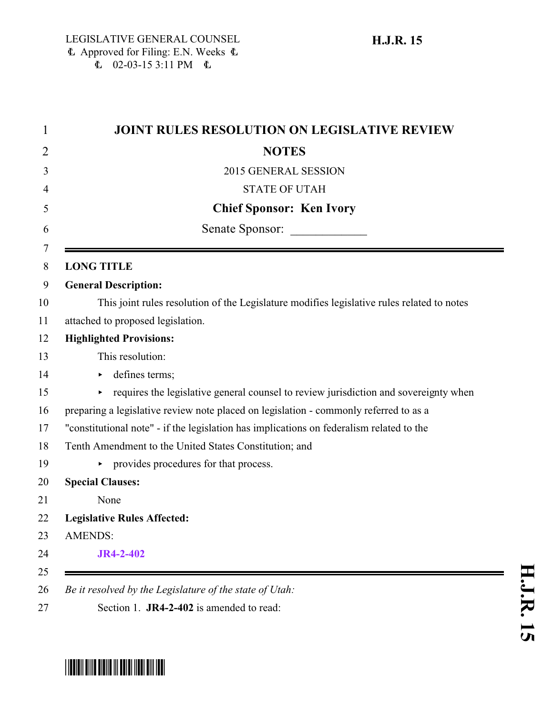| <b>NOTES</b><br>2015 GENERAL SESSION<br><b>STATE OF UTAH</b><br><b>Chief Sponsor: Ken Ivory</b><br>Senate Sponsor: |
|--------------------------------------------------------------------------------------------------------------------|
|                                                                                                                    |
|                                                                                                                    |
|                                                                                                                    |
|                                                                                                                    |
|                                                                                                                    |
| <b>LONG TITLE</b>                                                                                                  |
| <b>General Description:</b>                                                                                        |
| This joint rules resolution of the Legislature modifies legislative rules related to notes                         |
| attached to proposed legislation.                                                                                  |
| <b>Highlighted Provisions:</b>                                                                                     |
| This resolution:                                                                                                   |
| defines terms;<br>▶                                                                                                |
| requires the legislative general counsel to review jurisdiction and sovereignty when<br>▶                          |
| preparing a legislative review note placed on legislation - commonly referred to as a                              |
| "constitutional note" - if the legislation has implications on federalism related to the                           |
| Tenth Amendment to the United States Constitution; and                                                             |
| provides procedures for that process.<br>▶.                                                                        |
| <b>Special Clauses:</b>                                                                                            |
| None                                                                                                               |
| <b>Legislative Rules Affected:</b>                                                                                 |
| <b>AMENDS:</b>                                                                                                     |
| <b>JR4-2-402</b>                                                                                                   |
| Be it resolved by the Legislature of the state of Utah:                                                            |

## <span id="page-0-0"></span>\*HJR015\*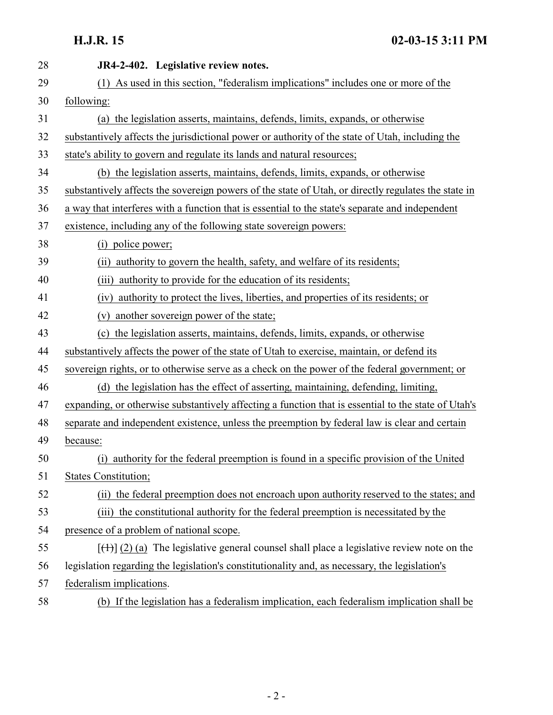| 28 | JR4-2-402. Legislative review notes.                                                                |
|----|-----------------------------------------------------------------------------------------------------|
| 29 | (1) As used in this section, "federalism implications" includes one or more of the                  |
| 30 | following:                                                                                          |
| 31 | (a) the legislation asserts, maintains, defends, limits, expands, or otherwise                      |
| 32 | substantively affects the jurisdictional power or authority of the state of Utah, including the     |
| 33 | state's ability to govern and regulate its lands and natural resources;                             |
| 34 | (b) the legislation asserts, maintains, defends, limits, expands, or otherwise                      |
| 35 | substantively affects the sovereign powers of the state of Utah, or directly regulates the state in |
| 36 | a way that interferes with a function that is essential to the state's separate and independent     |
| 37 | existence, including any of the following state sovereign powers:                                   |
| 38 | police power;<br>(i)                                                                                |
| 39 | (ii) authority to govern the health, safety, and welfare of its residents;                          |
| 40 | authority to provide for the education of its residents;<br>(iii)                                   |
| 41 | (iv) authority to protect the lives, liberties, and properties of its residents; or                 |
| 42 | another sovereign power of the state;<br>(v)                                                        |
| 43 | the legislation asserts, maintains, defends, limits, expands, or otherwise<br>(c)                   |
| 44 | substantively affects the power of the state of Utah to exercise, maintain, or defend its           |
| 45 | sovereign rights, or to otherwise serve as a check on the power of the federal government; or       |
| 46 | (d) the legislation has the effect of asserting, maintaining, defending, limiting,                  |
| 47 | expanding, or otherwise substantively affecting a function that is essential to the state of Utah's |
| 48 | separate and independent existence, unless the preemption by federal law is clear and certain       |
| 49 | because:                                                                                            |
| 50 | (i) authority for the federal preemption is found in a specific provision of the United             |
| 51 | <b>States Constitution;</b>                                                                         |
| 52 | (ii) the federal preemption does not encroach upon authority reserved to the states; and            |
| 53 | (iii) the constitutional authority for the federal preemption is necessitated by the                |
| 54 | presence of a problem of national scope.                                                            |
| 55 | $[\text{(+)}]$ (2) (a) The legislative general counsel shall place a legislative review note on the |
| 56 | legislation regarding the legislation's constitutionality and, as necessary, the legislation's      |
| 57 | federalism implications.                                                                            |
| 58 | (b) If the legislation has a federalism implication, each federalism implication shall be           |